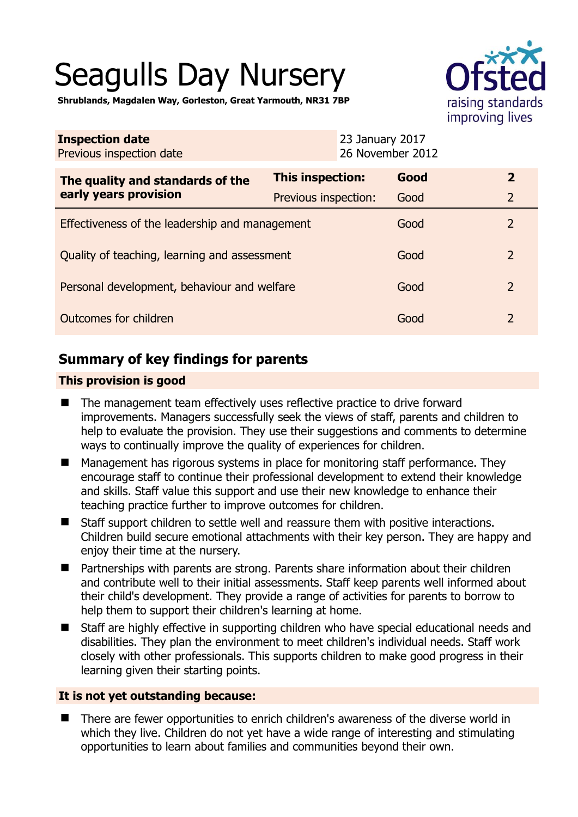# Seagulls Day Nursery



**Shrublands, Magdalen Way, Gorleston, Great Yarmouth, NR31 7BP** 

| <b>Inspection date</b><br>Previous inspection date        | 23 January 2017<br>26 November 2012 |      |                |
|-----------------------------------------------------------|-------------------------------------|------|----------------|
| The quality and standards of the<br>early years provision | <b>This inspection:</b>             | Good | $\mathbf{2}$   |
|                                                           | Previous inspection:                | Good | $\overline{2}$ |
| Effectiveness of the leadership and management            |                                     | Good | $\overline{2}$ |
| Quality of teaching, learning and assessment              |                                     | Good | $\overline{2}$ |
| Personal development, behaviour and welfare               |                                     | Good | $\overline{2}$ |
| Outcomes for children                                     |                                     | Good | $\overline{2}$ |

# **Summary of key findings for parents**

# **This provision is good**

- The management team effectively uses reflective practice to drive forward improvements. Managers successfully seek the views of staff, parents and children to help to evaluate the provision. They use their suggestions and comments to determine ways to continually improve the quality of experiences for children.
- Management has rigorous systems in place for monitoring staff performance. They encourage staff to continue their professional development to extend their knowledge and skills. Staff value this support and use their new knowledge to enhance their teaching practice further to improve outcomes for children.
- Staff support children to settle well and reassure them with positive interactions. Children build secure emotional attachments with their key person. They are happy and enjoy their time at the nursery.
- Partnerships with parents are strong. Parents share information about their children and contribute well to their initial assessments. Staff keep parents well informed about their child's development. They provide a range of activities for parents to borrow to help them to support their children's learning at home.
- Staff are highly effective in supporting children who have special educational needs and disabilities. They plan the environment to meet children's individual needs. Staff work closely with other professionals. This supports children to make good progress in their learning given their starting points.

# **It is not yet outstanding because:**

■ There are fewer opportunities to enrich children's awareness of the diverse world in which they live. Children do not yet have a wide range of interesting and stimulating opportunities to learn about families and communities beyond their own.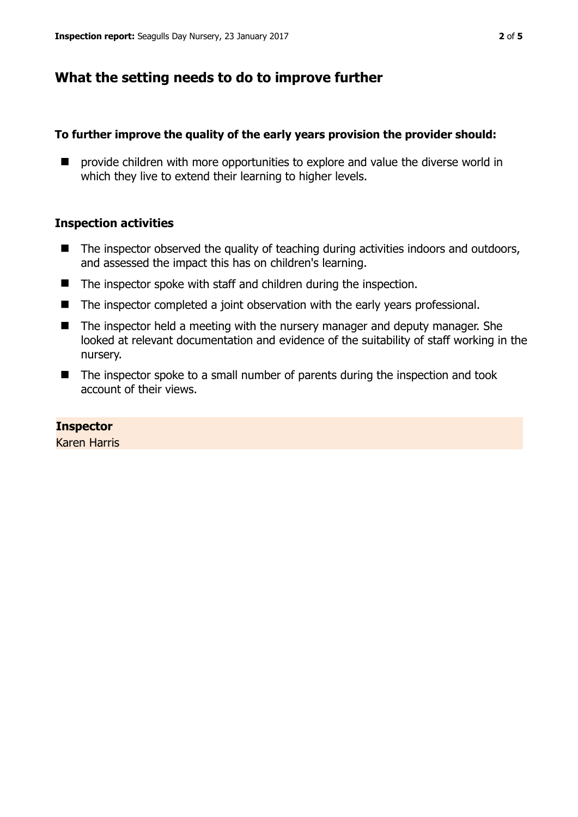# **What the setting needs to do to improve further**

### **To further improve the quality of the early years provision the provider should:**

**E** provide children with more opportunities to explore and value the diverse world in which they live to extend their learning to higher levels.

#### **Inspection activities**

- $\blacksquare$  The inspector observed the quality of teaching during activities indoors and outdoors, and assessed the impact this has on children's learning.
- The inspector spoke with staff and children during the inspection.
- The inspector completed a joint observation with the early years professional.
- The inspector held a meeting with the nursery manager and deputy manager. She looked at relevant documentation and evidence of the suitability of staff working in the nursery.
- The inspector spoke to a small number of parents during the inspection and took account of their views.

#### **Inspector**

Karen Harris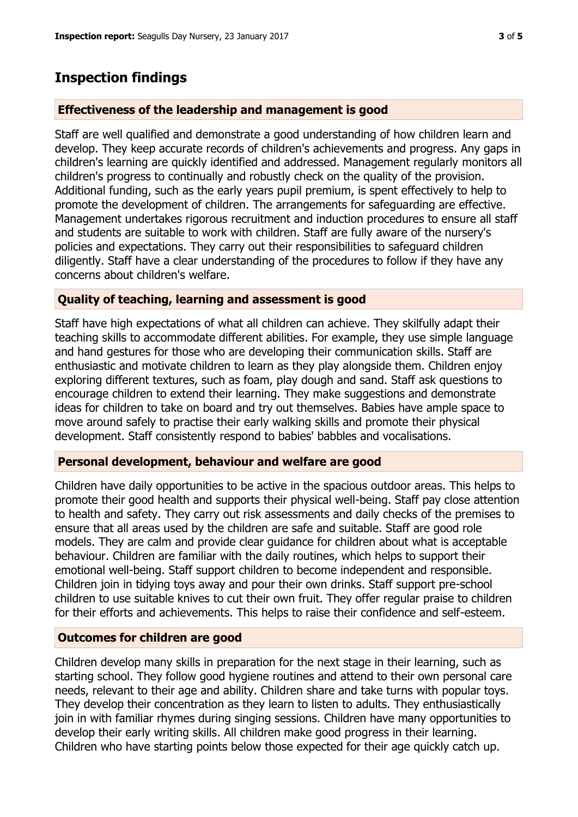# **Inspection findings**

## **Effectiveness of the leadership and management is good**

Staff are well qualified and demonstrate a good understanding of how children learn and develop. They keep accurate records of children's achievements and progress. Any gaps in children's learning are quickly identified and addressed. Management regularly monitors all children's progress to continually and robustly check on the quality of the provision. Additional funding, such as the early years pupil premium, is spent effectively to help to promote the development of children. The arrangements for safeguarding are effective. Management undertakes rigorous recruitment and induction procedures to ensure all staff and students are suitable to work with children. Staff are fully aware of the nursery's policies and expectations. They carry out their responsibilities to safeguard children diligently. Staff have a clear understanding of the procedures to follow if they have any concerns about children's welfare.

## **Quality of teaching, learning and assessment is good**

Staff have high expectations of what all children can achieve. They skilfully adapt their teaching skills to accommodate different abilities. For example, they use simple language and hand gestures for those who are developing their communication skills. Staff are enthusiastic and motivate children to learn as they play alongside them. Children enjoy exploring different textures, such as foam, play dough and sand. Staff ask questions to encourage children to extend their learning. They make suggestions and demonstrate ideas for children to take on board and try out themselves. Babies have ample space to move around safely to practise their early walking skills and promote their physical development. Staff consistently respond to babies' babbles and vocalisations.

## **Personal development, behaviour and welfare are good**

Children have daily opportunities to be active in the spacious outdoor areas. This helps to promote their good health and supports their physical well-being. Staff pay close attention to health and safety. They carry out risk assessments and daily checks of the premises to ensure that all areas used by the children are safe and suitable. Staff are good role models. They are calm and provide clear guidance for children about what is acceptable behaviour. Children are familiar with the daily routines, which helps to support their emotional well-being. Staff support children to become independent and responsible. Children join in tidying toys away and pour their own drinks. Staff support pre-school children to use suitable knives to cut their own fruit. They offer regular praise to children for their efforts and achievements. This helps to raise their confidence and self-esteem.

## **Outcomes for children are good**

Children develop many skills in preparation for the next stage in their learning, such as starting school. They follow good hygiene routines and attend to their own personal care needs, relevant to their age and ability. Children share and take turns with popular toys. They develop their concentration as they learn to listen to adults. They enthusiastically join in with familiar rhymes during singing sessions. Children have many opportunities to develop their early writing skills. All children make good progress in their learning. Children who have starting points below those expected for their age quickly catch up.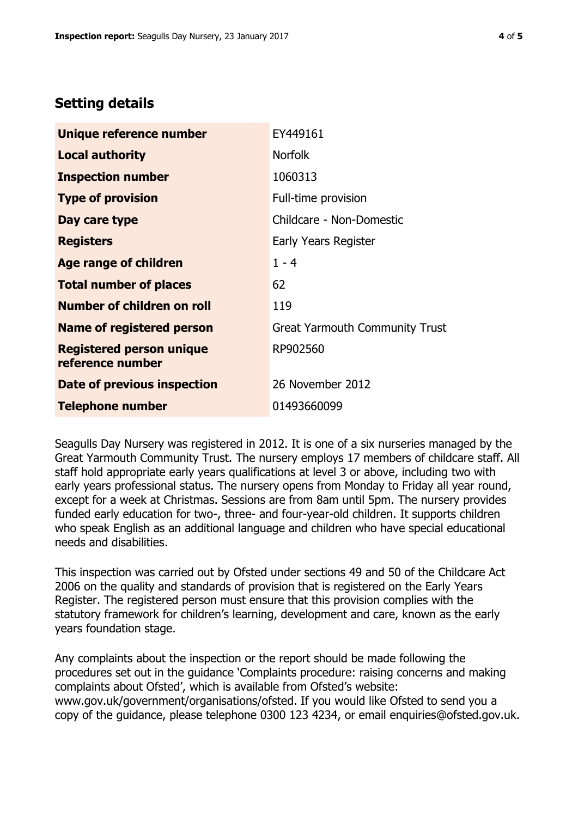# **Setting details**

| Unique reference number                             | EY449161                              |
|-----------------------------------------------------|---------------------------------------|
| <b>Local authority</b>                              | <b>Norfolk</b>                        |
| <b>Inspection number</b>                            | 1060313                               |
| <b>Type of provision</b>                            | Full-time provision                   |
| Day care type                                       | Childcare - Non-Domestic              |
| <b>Registers</b>                                    | Early Years Register                  |
| <b>Age range of children</b>                        | $1 - 4$                               |
| <b>Total number of places</b>                       | 62                                    |
| <b>Number of children on roll</b>                   | 119                                   |
| Name of registered person                           | <b>Great Yarmouth Community Trust</b> |
| <b>Registered person unique</b><br>reference number | RP902560                              |
| <b>Date of previous inspection</b>                  | 26 November 2012                      |
| <b>Telephone number</b>                             | 01493660099                           |

Seagulls Day Nursery was registered in 2012. It is one of a six nurseries managed by the Great Yarmouth Community Trust. The nursery employs 17 members of childcare staff. All staff hold appropriate early years qualifications at level 3 or above, including two with early years professional status. The nursery opens from Monday to Friday all year round, except for a week at Christmas. Sessions are from 8am until 5pm. The nursery provides funded early education for two-, three- and four-year-old children. It supports children who speak English as an additional language and children who have special educational needs and disabilities.

This inspection was carried out by Ofsted under sections 49 and 50 of the Childcare Act 2006 on the quality and standards of provision that is registered on the Early Years Register. The registered person must ensure that this provision complies with the statutory framework for children's learning, development and care, known as the early years foundation stage.

Any complaints about the inspection or the report should be made following the procedures set out in the guidance 'Complaints procedure: raising concerns and making complaints about Ofsted', which is available from Ofsted's website: www.gov.uk/government/organisations/ofsted. If you would like Ofsted to send you a copy of the guidance, please telephone 0300 123 4234, or email enquiries@ofsted.gov.uk.